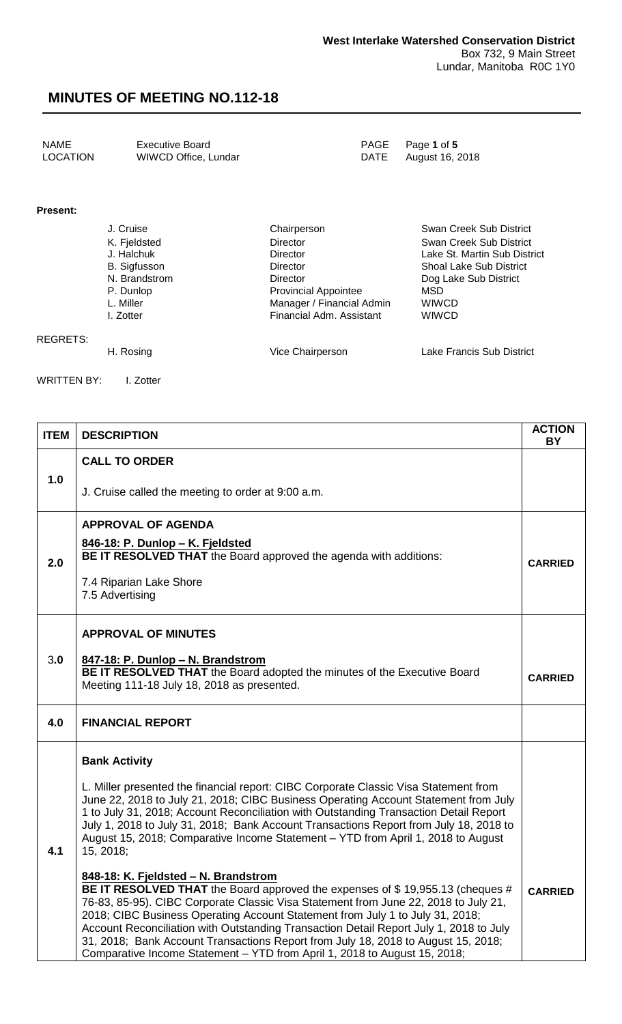| <b>NAME</b> | <b>Executive Board</b> |
|-------------|------------------------|
| LOCATION    | WIWCD Office, Lundar   |

PAGE Page 1 of 5<br>DATE August 16, 2 August 16, 2018

**Present:**

| J. Cruise           | Chairperson                 | Swan Creek Sub District        |
|---------------------|-----------------------------|--------------------------------|
| K. Fjeldsted        | <b>Director</b>             | Swan Creek Sub District        |
| J. Halchuk          | Director                    | Lake St. Martin Sub District   |
| <b>B.</b> Sigfusson | Director                    | <b>Shoal Lake Sub District</b> |
| N. Brandstrom       | Director                    | Dog Lake Sub District          |
| P. Dunlop           | <b>Provincial Appointee</b> | MSD                            |
| L. Miller           | Manager / Financial Admin   | <b>WIWCD</b>                   |
| I. Zotter           | Financial Adm. Assistant    | <b>WIWCD</b>                   |
| H. Rosing           | Vice Chairperson            | Lake Francis Sub District      |

WRITTEN BY: I. Zotter

REGRETS:

| <b>ITEM</b> | <b>DESCRIPTION</b>                                                                                                                                                                                                                                                                                                                                                                                                                                                                                                                                                                                                                                                                                                                                                                                                                                                                                                                                                                                                                                  | <b>ACTION</b>  |  |  |
|-------------|-----------------------------------------------------------------------------------------------------------------------------------------------------------------------------------------------------------------------------------------------------------------------------------------------------------------------------------------------------------------------------------------------------------------------------------------------------------------------------------------------------------------------------------------------------------------------------------------------------------------------------------------------------------------------------------------------------------------------------------------------------------------------------------------------------------------------------------------------------------------------------------------------------------------------------------------------------------------------------------------------------------------------------------------------------|----------------|--|--|
| 1.0         | <b>CALL TO ORDER</b><br>J. Cruise called the meeting to order at 9:00 a.m.                                                                                                                                                                                                                                                                                                                                                                                                                                                                                                                                                                                                                                                                                                                                                                                                                                                                                                                                                                          | <b>BY</b>      |  |  |
| 2.0         | <b>APPROVAL OF AGENDA</b><br>846-18: P. Dunlop - K. Fjeldsted<br><b>BE IT RESOLVED THAT</b> the Board approved the agenda with additions:<br>7.4 Riparian Lake Shore<br>7.5 Advertising                                                                                                                                                                                                                                                                                                                                                                                                                                                                                                                                                                                                                                                                                                                                                                                                                                                             | <b>CARRIED</b> |  |  |
| 3.0         | <b>APPROVAL OF MINUTES</b><br>847-18: P. Dunlop - N. Brandstrom<br>BE IT RESOLVED THAT the Board adopted the minutes of the Executive Board<br>Meeting 111-18 July 18, 2018 as presented.                                                                                                                                                                                                                                                                                                                                                                                                                                                                                                                                                                                                                                                                                                                                                                                                                                                           |                |  |  |
| 4.0         | <b>FINANCIAL REPORT</b>                                                                                                                                                                                                                                                                                                                                                                                                                                                                                                                                                                                                                                                                                                                                                                                                                                                                                                                                                                                                                             |                |  |  |
| 4.1         | <b>Bank Activity</b><br>L. Miller presented the financial report: CIBC Corporate Classic Visa Statement from<br>June 22, 2018 to July 21, 2018; CIBC Business Operating Account Statement from July<br>1 to July 31, 2018; Account Reconciliation with Outstanding Transaction Detail Report<br>July 1, 2018 to July 31, 2018; Bank Account Transactions Report from July 18, 2018 to<br>August 15, 2018; Comparative Income Statement - YTD from April 1, 2018 to August<br>15, 2018;<br>848-18: K. Fjeldsted - N. Brandstrom<br>BE IT RESOLVED THAT the Board approved the expenses of \$19,955.13 (cheques #<br>76-83, 85-95). CIBC Corporate Classic Visa Statement from June 22, 2018 to July 21,<br>2018; CIBC Business Operating Account Statement from July 1 to July 31, 2018;<br>Account Reconciliation with Outstanding Transaction Detail Report July 1, 2018 to July<br>31, 2018; Bank Account Transactions Report from July 18, 2018 to August 15, 2018;<br>Comparative Income Statement - YTD from April 1, 2018 to August 15, 2018; | <b>CARRIED</b> |  |  |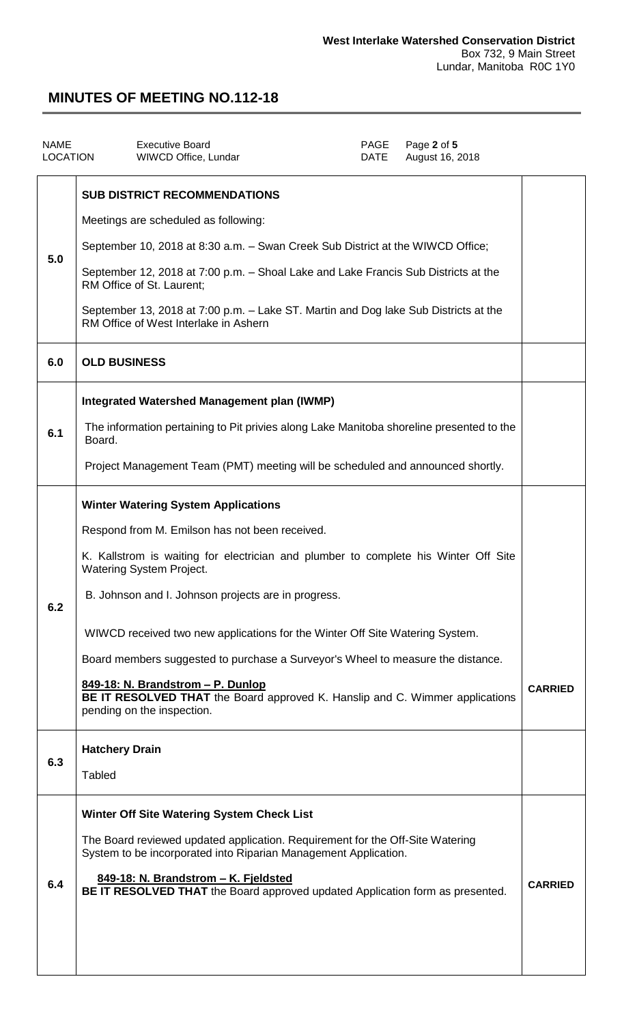| <b>NAME</b><br><b>LOCATION</b> | <b>Executive Board</b><br>WIWCD Office, Lundar                                                                                                                                                                                                                                                                                                                                                                                                                                                                                                                                                      | PAGE<br><b>DATE</b> | Page 2 of 5<br>August 16, 2018 |                |
|--------------------------------|-----------------------------------------------------------------------------------------------------------------------------------------------------------------------------------------------------------------------------------------------------------------------------------------------------------------------------------------------------------------------------------------------------------------------------------------------------------------------------------------------------------------------------------------------------------------------------------------------------|---------------------|--------------------------------|----------------|
| 5.0<br>6.0                     | <b>SUB DISTRICT RECOMMENDATIONS</b><br>Meetings are scheduled as following:<br>September 10, 2018 at 8:30 a.m. - Swan Creek Sub District at the WIWCD Office;<br>September 12, 2018 at 7:00 p.m. - Shoal Lake and Lake Francis Sub Districts at the<br>RM Office of St. Laurent;<br>September 13, 2018 at 7:00 p.m. - Lake ST. Martin and Dog lake Sub Districts at the<br>RM Office of West Interlake in Ashern<br><b>OLD BUSINESS</b>                                                                                                                                                             |                     |                                |                |
| 6.1                            | <b>Integrated Watershed Management plan (IWMP)</b><br>The information pertaining to Pit privies along Lake Manitoba shoreline presented to the<br>Board.<br>Project Management Team (PMT) meeting will be scheduled and announced shortly.                                                                                                                                                                                                                                                                                                                                                          |                     |                                |                |
| 6.2                            | <b>Winter Watering System Applications</b><br>Respond from M. Emilson has not been received.<br>K. Kallstrom is waiting for electrician and plumber to complete his Winter Off Site<br><b>Watering System Project.</b><br>B. Johnson and I. Johnson projects are in progress.<br>WIWCD received two new applications for the Winter Off Site Watering System.<br>Board members suggested to purchase a Surveyor's Wheel to measure the distance.<br>849-18: N. Brandstrom - P. Dunlop<br>BE IT RESOLVED THAT the Board approved K. Hanslip and C. Wimmer applications<br>pending on the inspection. |                     |                                | <b>CARRIED</b> |
| 6.3                            | <b>Hatchery Drain</b><br><b>Tabled</b>                                                                                                                                                                                                                                                                                                                                                                                                                                                                                                                                                              |                     |                                |                |
| 6.4                            | Winter Off Site Watering System Check List<br>The Board reviewed updated application. Requirement for the Off-Site Watering<br>System to be incorporated into Riparian Management Application.<br>849-18: N. Brandstrom - K. Fjeldsted<br>BE IT RESOLVED THAT the Board approved updated Application form as presented.                                                                                                                                                                                                                                                                             |                     |                                | <b>CARRIED</b> |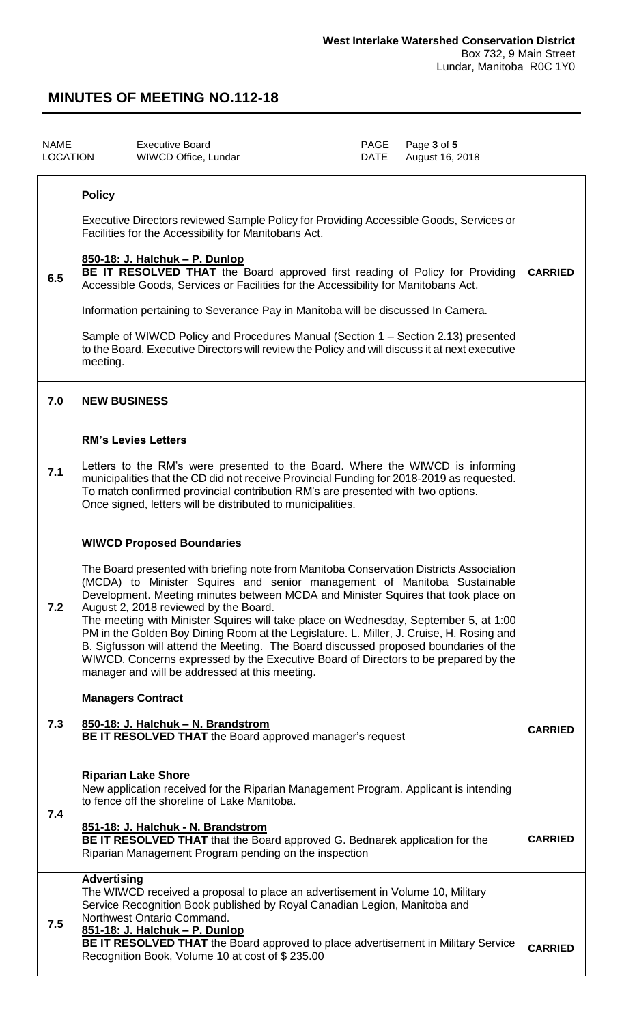| <b>NAME</b><br>LOCATION |                           | <b>Executive Board</b><br>WIWCD Office, Lundar                                                                                                                                                                                                                                                                                                                                                                                                                                                                                                                                                                                                                                                                                                             | PAGE<br>DATE | Page 3 of 5<br>August 16, 2018 |                |
|-------------------------|---------------------------|------------------------------------------------------------------------------------------------------------------------------------------------------------------------------------------------------------------------------------------------------------------------------------------------------------------------------------------------------------------------------------------------------------------------------------------------------------------------------------------------------------------------------------------------------------------------------------------------------------------------------------------------------------------------------------------------------------------------------------------------------------|--------------|--------------------------------|----------------|
| 6.5                     | <b>Policy</b><br>meeting. | Executive Directors reviewed Sample Policy for Providing Accessible Goods, Services or<br>Facilities for the Accessibility for Manitobans Act.<br>850-18: J. Halchuk - P. Dunlop<br>BE IT RESOLVED THAT the Board approved first reading of Policy for Providing<br>Accessible Goods, Services or Facilities for the Accessibility for Manitobans Act.<br>Information pertaining to Severance Pay in Manitoba will be discussed In Camera.<br>Sample of WIWCD Policy and Procedures Manual (Section 1 – Section 2.13) presented<br>to the Board. Executive Directors will review the Policy and will discuss it at next executive                                                                                                                          |              |                                | <b>CARRIED</b> |
| 7.0                     | <b>NEW BUSINESS</b>       |                                                                                                                                                                                                                                                                                                                                                                                                                                                                                                                                                                                                                                                                                                                                                            |              |                                |                |
| 7.1                     |                           | <b>RM's Levies Letters</b><br>Letters to the RM's were presented to the Board. Where the WIWCD is informing<br>municipalities that the CD did not receive Provincial Funding for 2018-2019 as requested.<br>To match confirmed provincial contribution RM's are presented with two options.<br>Once signed, letters will be distributed to municipalities.                                                                                                                                                                                                                                                                                                                                                                                                 |              |                                |                |
| 7.2                     |                           | <b>WIWCD Proposed Boundaries</b><br>The Board presented with briefing note from Manitoba Conservation Districts Association<br>(MCDA) to Minister Squires and senior management of Manitoba Sustainable<br>Development. Meeting minutes between MCDA and Minister Squires that took place on<br>August 2, 2018 reviewed by the Board.<br>The meeting with Minister Squires will take place on Wednesday, September 5, at 1:00<br>PM in the Golden Boy Dining Room at the Legislature. L. Miller, J. Cruise, H. Rosing and<br>B. Sigfusson will attend the Meeting. The Board discussed proposed boundaries of the<br>WIWCD. Concerns expressed by the Executive Board of Directors to be prepared by the<br>manager and will be addressed at this meeting. |              |                                |                |
| 7.3                     |                           | <b>Managers Contract</b><br>850-18: J. Halchuk - N. Brandstrom<br>BE IT RESOLVED THAT the Board approved manager's request                                                                                                                                                                                                                                                                                                                                                                                                                                                                                                                                                                                                                                 |              |                                | <b>CARRIED</b> |
| 7.4                     |                           | <b>Riparian Lake Shore</b><br>New application received for the Riparian Management Program. Applicant is intending<br>to fence off the shoreline of Lake Manitoba.<br>851-18: J. Halchuk - N. Brandstrom<br>BE IT RESOLVED THAT that the Board approved G. Bednarek application for the<br>Riparian Management Program pending on the inspection                                                                                                                                                                                                                                                                                                                                                                                                           |              |                                | <b>CARRIED</b> |
| 7.5                     | <b>Advertising</b>        | The WIWCD received a proposal to place an advertisement in Volume 10, Military<br>Service Recognition Book published by Royal Canadian Legion, Manitoba and<br>Northwest Ontario Command.<br>851-18: J. Halchuk - P. Dunlop<br>BE IT RESOLVED THAT the Board approved to place advertisement in Military Service<br>Recognition Book, Volume 10 at cost of \$235.00                                                                                                                                                                                                                                                                                                                                                                                        |              |                                | <b>CARRIED</b> |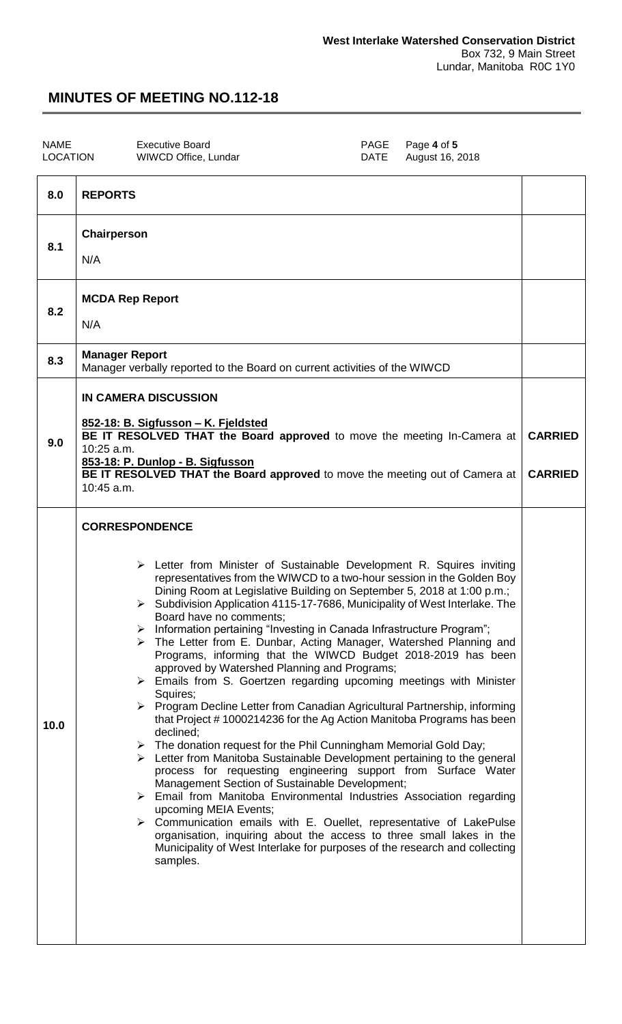NAME Executive Board<br>
LOCATION WIWCD Office, Lundar
PAGE Page 4 of 5

WIWCD Office, Lundar

| 8.0  | <b>REPORTS</b>                                                                                                                                                                                                                                                                                                                                                                                                                                                                                                                                                                                                                                                                                                                                                                                                                                                                                                                                                                                                                                                                                                                                                                                                                                                                                                                                                                                                                                                                                                                                                               |  |  |  |  |
|------|------------------------------------------------------------------------------------------------------------------------------------------------------------------------------------------------------------------------------------------------------------------------------------------------------------------------------------------------------------------------------------------------------------------------------------------------------------------------------------------------------------------------------------------------------------------------------------------------------------------------------------------------------------------------------------------------------------------------------------------------------------------------------------------------------------------------------------------------------------------------------------------------------------------------------------------------------------------------------------------------------------------------------------------------------------------------------------------------------------------------------------------------------------------------------------------------------------------------------------------------------------------------------------------------------------------------------------------------------------------------------------------------------------------------------------------------------------------------------------------------------------------------------------------------------------------------------|--|--|--|--|
| 8.1  | Chairperson<br>N/A                                                                                                                                                                                                                                                                                                                                                                                                                                                                                                                                                                                                                                                                                                                                                                                                                                                                                                                                                                                                                                                                                                                                                                                                                                                                                                                                                                                                                                                                                                                                                           |  |  |  |  |
| 8.2  | <b>MCDA Rep Report</b><br>N/A                                                                                                                                                                                                                                                                                                                                                                                                                                                                                                                                                                                                                                                                                                                                                                                                                                                                                                                                                                                                                                                                                                                                                                                                                                                                                                                                                                                                                                                                                                                                                |  |  |  |  |
| 8.3  | <b>Manager Report</b><br>Manager verbally reported to the Board on current activities of the WIWCD                                                                                                                                                                                                                                                                                                                                                                                                                                                                                                                                                                                                                                                                                                                                                                                                                                                                                                                                                                                                                                                                                                                                                                                                                                                                                                                                                                                                                                                                           |  |  |  |  |
| 9.0  | IN CAMERA DISCUSSION<br>852-18: B. Sigfusson - K. Fjeldsted<br>BE IT RESOLVED THAT the Board approved to move the meeting In-Camera at<br>10:25 a.m.<br>853-18: P. Dunlop - B. Sigfusson<br>BE IT RESOLVED THAT the Board approved to move the meeting out of Camera at<br>10:45 a.m.                                                                                                                                                                                                                                                                                                                                                                                                                                                                                                                                                                                                                                                                                                                                                                                                                                                                                                                                                                                                                                                                                                                                                                                                                                                                                        |  |  |  |  |
| 10.0 | <b>CORRESPONDENCE</b><br>$\triangleright$ Letter from Minister of Sustainable Development R. Squires inviting<br>representatives from the WIWCD to a two-hour session in the Golden Boy<br>Dining Room at Legislative Building on September 5, 2018 at 1:00 p.m.;<br>> Subdivision Application 4115-17-7686, Municipality of West Interlake. The<br>Board have no comments:<br>> Information pertaining "Investing in Canada Infrastructure Program";<br>The Letter from E. Dunbar, Acting Manager, Watershed Planning and<br>Programs, informing that the WIWCD Budget 2018-2019 has been<br>approved by Watershed Planning and Programs;<br>$\triangleright$ Emails from S. Goertzen regarding upcoming meetings with Minister<br>Squires;<br>Program Decline Letter from Canadian Agricultural Partnership, informing<br>➤<br>that Project #1000214236 for the Ag Action Manitoba Programs has been<br>declined;<br>$\triangleright$ The donation request for the Phil Cunningham Memorial Gold Day;<br>$\triangleright$ Letter from Manitoba Sustainable Development pertaining to the general<br>process for requesting engineering support from Surface Water<br>Management Section of Sustainable Development;<br>Email from Manitoba Environmental Industries Association regarding<br>upcoming MEIA Events;<br>$\triangleright$ Communication emails with E. Ouellet, representative of LakePulse<br>organisation, inquiring about the access to three small lakes in the<br>Municipality of West Interlake for purposes of the research and collecting<br>samples. |  |  |  |  |